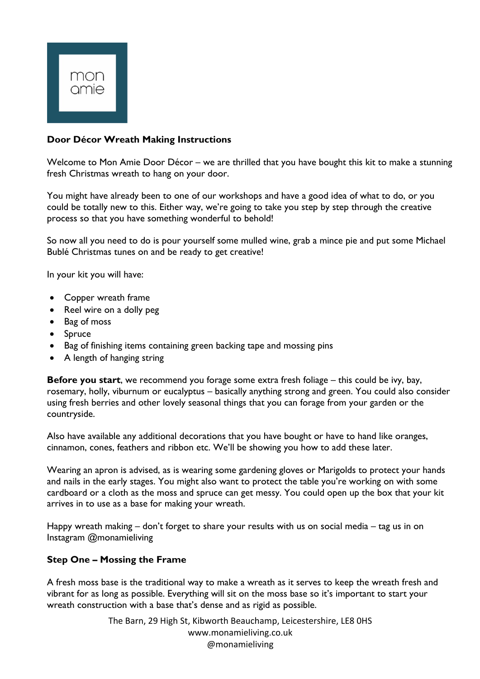

# **Door Décor Wreath Making Instructions**

Welcome to Mon Amie Door Décor – we are thrilled that you have bought this kit to make a stunning fresh Christmas wreath to hang on your door.

You might have already been to one of our workshops and have a good idea of what to do, or you could be totally new to this. Either way, we're going to take you step by step through the creative process so that you have something wonderful to behold!

So now all you need to do is pour yourself some mulled wine, grab a mince pie and put some Michael Bublé Christmas tunes on and be ready to get creative!

In your kit you will have:

- Copper wreath frame
- Reel wire on a dolly peg
- Bag of moss
- Spruce
- Bag of finishing items containing green backing tape and mossing pins
- A length of hanging string

**Before you start**, we recommend you forage some extra fresh foliage – this could be ivy, bay, rosemary, holly, viburnum or eucalyptus – basically anything strong and green. You could also consider using fresh berries and other lovely seasonal things that you can forage from your garden or the countryside.

Also have available any additional decorations that you have bought or have to hand like oranges, cinnamon, cones, feathers and ribbon etc. We'll be showing you how to add these later.

Wearing an apron is advised, as is wearing some gardening gloves or Marigolds to protect your hands and nails in the early stages. You might also want to protect the table you're working on with some cardboard or a cloth as the moss and spruce can get messy. You could open up the box that your kit arrives in to use as a base for making your wreath.

Happy wreath making – don't forget to share your results with us on social media – tag us in on Instagram @monamieliving

## **Step One – Mossing the Frame**

A fresh moss base is the traditional way to make a wreath as it serves to keep the wreath fresh and vibrant for as long as possible. Everything will sit on the moss base so it's important to start your wreath construction with a base that's dense and as rigid as possible.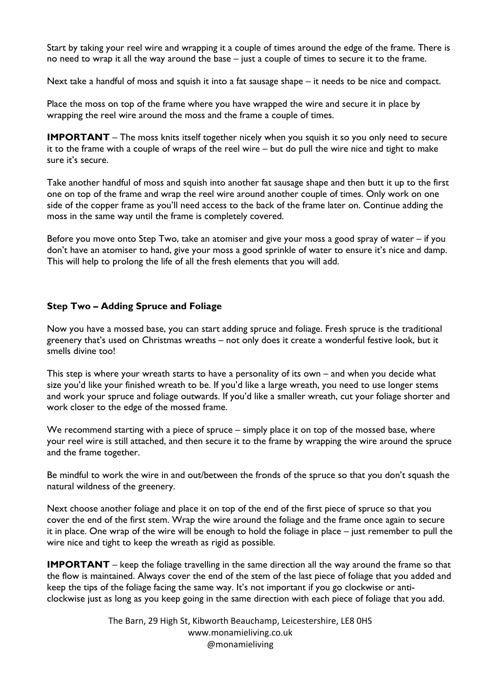Start by taking your reel wire and wrapping it a couple of times around the edge of the frame. There is no need to wrap it all the way around the base – just a couple of times to secure it to the frame.

Next take a handful of moss and squish it into a fat sausage shape – it needs to be nice and compact.

Place the moss on top of the frame where you have wrapped the wire and secure it in place by wrapping the reel wire around the moss and the frame a couple of times.

**IMPORTANT** – The moss knits itself together nicely when you squish it so you only need to secure it to the frame with a couple of wraps of the reel wire – but do pull the wire nice and tight to make sure it's secure.

Take another handful of moss and squish into another fat sausage shape and then butt it up to the first one on top of the frame and wrap the reel wire around another couple of times. Only work on one side of the copper frame as you'll need access to the back of the frame later on. Continue adding the moss in the same way until the frame is completely covered.

Before you move onto Step Two, take an atomiser and give your moss a good spray of water – if you don't have an atomiser to hand, give your moss a good sprinkle of water to ensure it's nice and damp. This will help to prolong the life of all the fresh elements that you will add.

## **Step Two – Adding Spruce and Foliage**

Now you have a mossed base, you can start adding spruce and foliage. Fresh spruce is the traditional greenery that's used on Christmas wreaths – not only does it create a wonderful festive look, but it smells divine too!

This step is where your wreath starts to have a personality of its own – and when you decide what size you'd like your finished wreath to be. If you'd like a large wreath, you need to use longer stems and work your spruce and foliage outwards. If you'd like a smaller wreath, cut your foliage shorter and work closer to the edge of the mossed frame.

We recommend starting with a piece of spruce – simply place it on top of the mossed base, where your reel wire is still attached, and then secure it to the frame by wrapping the wire around the spruce and the frame together.

Be mindful to work the wire in and out/between the fronds of the spruce so that you don't squash the natural wildness of the greenery.

Next choose another foliage and place it on top of the end of the first piece of spruce so that you cover the end of the first stem. Wrap the wire around the foliage and the frame once again to secure it in place. One wrap of the wire will be enough to hold the foliage in place – just remember to pull the wire nice and tight to keep the wreath as rigid as possible.

**IMPORTANT** – keep the foliage travelling in the same direction all the way around the frame so that the flow is maintained. Always cover the end of the stem of the last piece of foliage that you added and keep the tips of the foliage facing the same way. It's not important if you go clockwise or anticlockwise just as long as you keep going in the same direction with each piece of foliage that you add.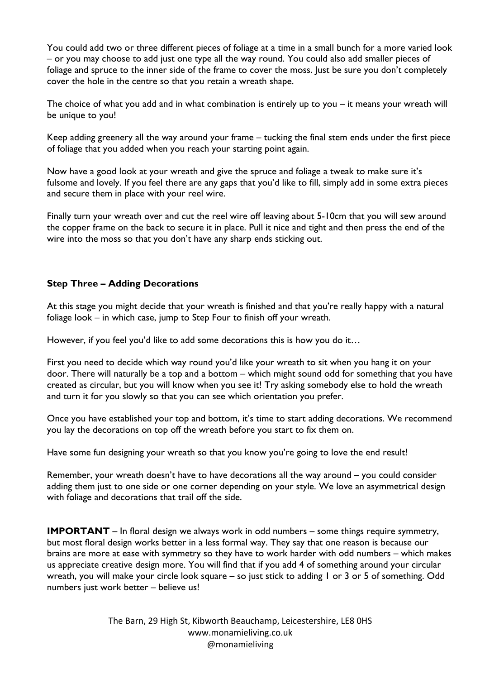You could add two or three different pieces of foliage at a time in a small bunch for a more varied look – or you may choose to add just one type all the way round. You could also add smaller pieces of foliage and spruce to the inner side of the frame to cover the moss. Just be sure you don't completely cover the hole in the centre so that you retain a wreath shape.

The choice of what you add and in what combination is entirely up to you – it means your wreath will be unique to you!

Keep adding greenery all the way around your frame – tucking the final stem ends under the first piece of foliage that you added when you reach your starting point again.

Now have a good look at your wreath and give the spruce and foliage a tweak to make sure it's fulsome and lovely. If you feel there are any gaps that you'd like to fill, simply add in some extra pieces and secure them in place with your reel wire.

Finally turn your wreath over and cut the reel wire off leaving about 5-10cm that you will sew around the copper frame on the back to secure it in place. Pull it nice and tight and then press the end of the wire into the moss so that you don't have any sharp ends sticking out.

### **Step Three – Adding Decorations**

At this stage you might decide that your wreath is finished and that you're really happy with a natural foliage look – in which case, jump to Step Four to finish off your wreath.

However, if you feel you'd like to add some decorations this is how you do it...

First you need to decide which way round you'd like your wreath to sit when you hang it on your door. There will naturally be a top and a bottom – which might sound odd for something that you have created as circular, but you will know when you see it! Try asking somebody else to hold the wreath and turn it for you slowly so that you can see which orientation you prefer.

Once you have established your top and bottom, it's time to start adding decorations. We recommend you lay the decorations on top off the wreath before you start to fix them on.

Have some fun designing your wreath so that you know you're going to love the end result!

Remember, your wreath doesn't have to have decorations all the way around – you could consider adding them just to one side or one corner depending on your style. We love an asymmetrical design with foliage and decorations that trail off the side.

**IMPORTANT** – In floral design we always work in odd numbers – some things require symmetry, but most floral design works better in a less formal way. They say that one reason is because our brains are more at ease with symmetry so they have to work harder with odd numbers – which makes us appreciate creative design more. You will find that if you add 4 of something around your circular wreath, you will make your circle look square – so just stick to adding 1 or 3 or 5 of something. Odd numbers just work better – believe us!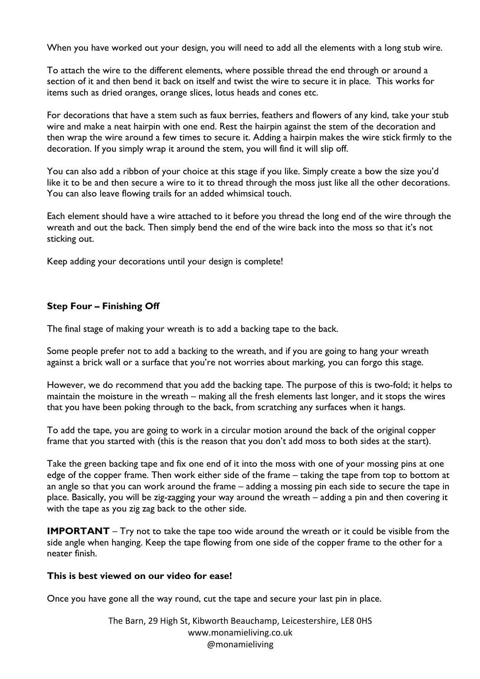When you have worked out your design, you will need to add all the elements with a long stub wire.

To attach the wire to the different elements, where possible thread the end through or around a section of it and then bend it back on itself and twist the wire to secure it in place. This works for items such as dried oranges, orange slices, lotus heads and cones etc.

For decorations that have a stem such as faux berries, feathers and flowers of any kind, take your stub wire and make a neat hairpin with one end. Rest the hairpin against the stem of the decoration and then wrap the wire around a few times to secure it. Adding a hairpin makes the wire stick firmly to the decoration. If you simply wrap it around the stem, you will find it will slip off.

You can also add a ribbon of your choice at this stage if you like. Simply create a bow the size you'd like it to be and then secure a wire to it to thread through the moss just like all the other decorations. You can also leave flowing trails for an added whimsical touch.

Each element should have a wire attached to it before you thread the long end of the wire through the wreath and out the back. Then simply bend the end of the wire back into the moss so that it's not sticking out.

Keep adding your decorations until your design is complete!

## **Step Four – Finishing Off**

The final stage of making your wreath is to add a backing tape to the back.

Some people prefer not to add a backing to the wreath, and if you are going to hang your wreath against a brick wall or a surface that you're not worries about marking, you can forgo this stage.

However, we do recommend that you add the backing tape. The purpose of this is two-fold; it helps to maintain the moisture in the wreath – making all the fresh elements last longer, and it stops the wires that you have been poking through to the back, from scratching any surfaces when it hangs.

To add the tape, you are going to work in a circular motion around the back of the original copper frame that you started with (this is the reason that you don't add moss to both sides at the start).

Take the green backing tape and fix one end of it into the moss with one of your mossing pins at one edge of the copper frame. Then work either side of the frame – taking the tape from top to bottom at an angle so that you can work around the frame – adding a mossing pin each side to secure the tape in place. Basically, you will be zig-zagging your way around the wreath – adding a pin and then covering it with the tape as you zig zag back to the other side.

**IMPORTANT** – Try not to take the tape too wide around the wreath or it could be visible from the side angle when hanging. Keep the tape flowing from one side of the copper frame to the other for a neater finish.

#### **This is best viewed on our video for ease!**

Once you have gone all the way round, cut the tape and secure your last pin in place.